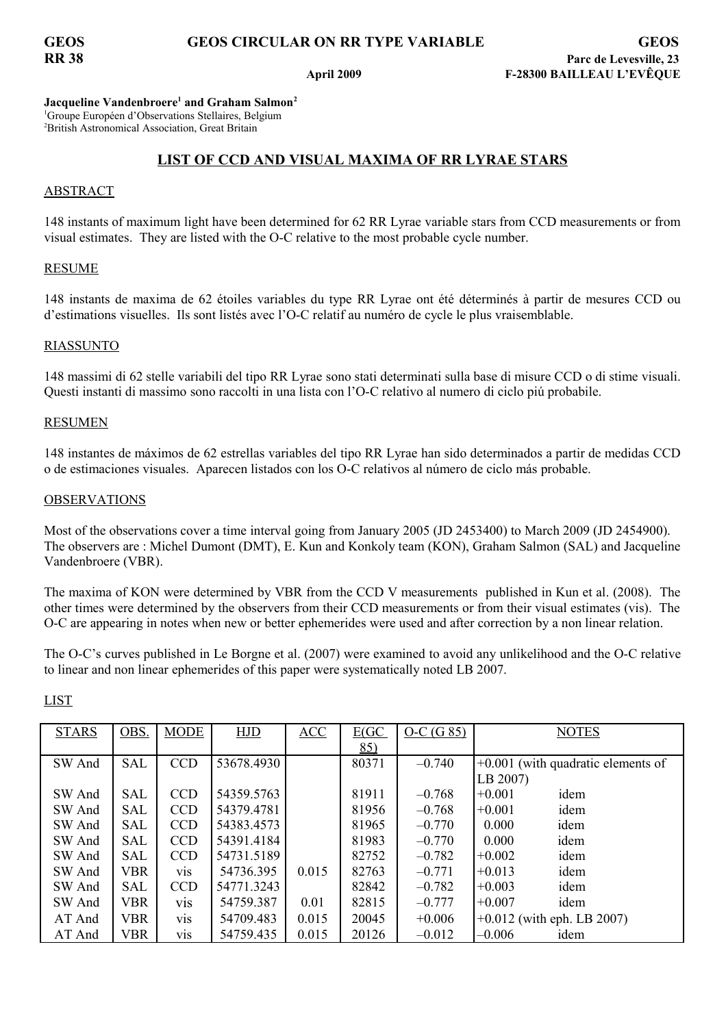## **GEOS GEOS CIRCULAR ON RR TYPE VARIABLE GEOS**

**Jacqueline Vandenbroere<sup>1</sup> and Graham Salmon<sup>2</sup>** <sup>1</sup>Groupe Européen d'Observations Stellaires, Belgium <sup>2</sup>British Astronomical Association, Great Britain

## **LIST OF CCD AND VISUAL MAXIMA OF RR LYRAE STARS**

## ABSTRACT

148 instants of maximum light have been determined for 62 RR Lyrae variable stars from CCD measurements or from visual estimates. They are listed with the O-C relative to the most probable cycle number.

## RESUME

148 instants de maxima de 62 étoiles variables du type RR Lyrae ont été déterminés à partir de mesures CCD ou d'estimations visuelles. Ils sont listés avec l'O-C relatif au numéro de cycle le plus vraisemblable.

## RIASSUNTO

148 massimi di 62 stelle variabili del tipo RR Lyrae sono stati determinati sulla base di misure CCD o di stime visuali. Questi instanti di massimo sono raccolti in una lista con l'O-C relativo al numero di ciclo piú probabile.

### RESUMEN

148 instantes de máximos de 62 estrellas variables del tipo RR Lyrae han sido determinados a partir de medidas CCD o de estimaciones visuales. Aparecen listados con los O-C relativos al número de ciclo más probable.

### **OBSERVATIONS**

Most of the observations cover a time interval going from January 2005 (JD 2453400) to March 2009 (JD 2454900). The observers are : Michel Dumont (DMT), E. Kun and Konkoly team (KON), Graham Salmon (SAL) and Jacqueline Vandenbroere (VBR).

The maxima of KON were determined by VBR from the CCD V measurements published in Kun et al. (2008). The other times were determined by the observers from their CCD measurements or from their visual estimates (vis). The O-C are appearing in notes when new or better ephemerides were used and after correction by a non linear relation.

The O-C's curves published in Le Borgne et al. (2007) were examined to avoid any unlikelihood and the O-C relative to linear and non linear ephemerides of this paper were systematically noted LB 2007.

| <b>STARS</b> | OBS.       | <b>MODE</b>      | <b>HJD</b> | ACC   | E(GC) | $O-C(G 85)$ | <b>NOTES</b>                         |
|--------------|------------|------------------|------------|-------|-------|-------------|--------------------------------------|
|              |            |                  |            |       | 85)   |             |                                      |
| SW And       | <b>SAL</b> | <b>CCD</b>       | 53678.4930 |       | 80371 | $-0.740$    | $+0.001$ (with quadratic elements of |
|              |            |                  |            |       |       |             | LB 2007)                             |
| SW And       | <b>SAL</b> | <b>CCD</b>       | 54359.5763 |       | 81911 | $-0.768$    | $+0.001$<br>idem                     |
| SW And       | SAL        | <b>CCD</b>       | 54379.4781 |       | 81956 | $-0.768$    | idem<br>$+0.001$                     |
| SW And       | <b>SAL</b> | <b>CCD</b>       | 54383.4573 |       | 81965 | $-0.770$    | idem<br>0.000                        |
| SW And       | SAL        | <b>CCD</b>       | 54391.4184 |       | 81983 | $-0.770$    | 0.000<br>idem                        |
| SW And       | SAL        | <b>CCD</b>       | 54731.5189 |       | 82752 | $-0.782$    | idem<br>$+0.002$                     |
| SW And       | <b>VBR</b> | <b>VIS</b>       | 54736.395  | 0.015 | 82763 | $-0.771$    | idem<br>$+0.013$                     |
| SW And       | SAL        | <b>CCD</b>       | 54771.3243 |       | 82842 | $-0.782$    | idem<br>$+0.003$                     |
| SW And       | <b>VBR</b> | V1S              | 54759.387  | 0.01  | 82815 | $-0.777$    | idem<br>$+0.007$                     |
| AT And       | <b>VBR</b> | vis              | 54709.483  | 0.015 | 20045 | $+0.006$    | $+0.012$ (with eph. LB 2007)         |
| AT And       | <b>VBR</b> | V <sub>1</sub> S | 54759.435  | 0.015 | 20126 | $-0.012$    | $-0.006$<br>idem                     |

LIST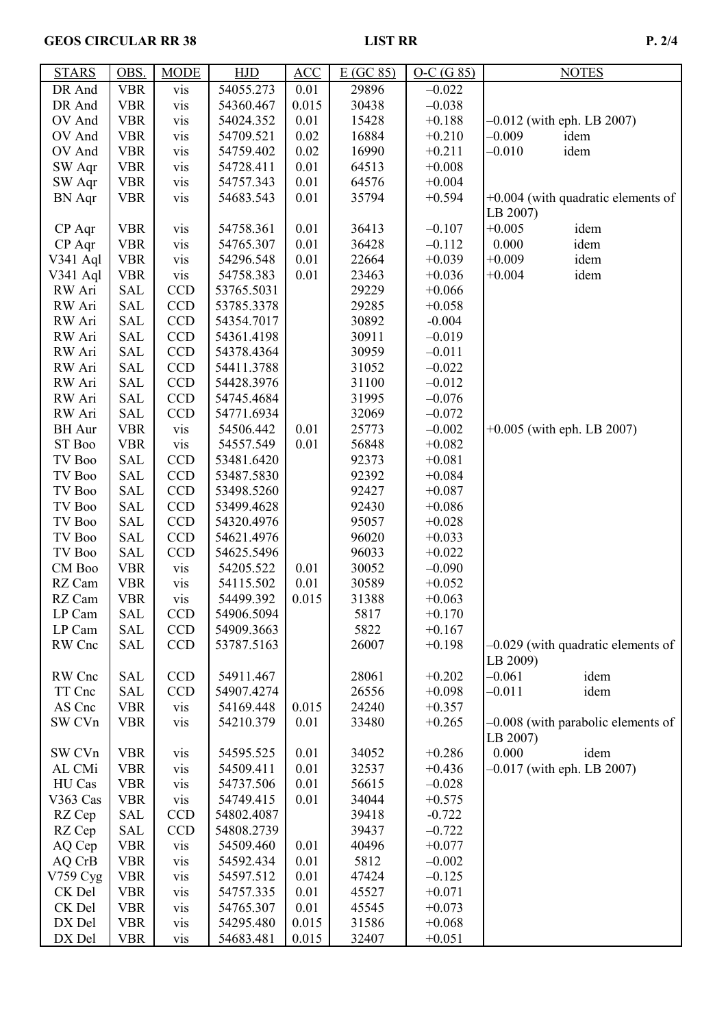# GEOS CIRCULAR RR 38 LIST RR P. 2/4

| 29896<br>DR And<br><b>VBR</b><br>54055.273<br>0.01<br>$-0.022$<br>vis<br><b>VBR</b><br>0.015<br>DR And<br>54360.467<br>30438<br>$-0.038$<br>vis<br>0.01<br><b>VBR</b><br>$+0.188$<br>$-0.012$ (with eph. LB 2007)<br>OV And<br>54024.352<br>15428<br>vis<br><b>VBR</b><br>0.02<br>16884<br>$-0.009$<br>idem<br>OV And<br>54709.521<br>$+0.210$<br>vis<br>idem<br>OV And<br><b>VBR</b><br>0.02<br>16990<br>$-0.010$<br>vis<br>54759.402<br>$+0.211$<br><b>VBR</b><br>54728.411<br>0.01<br>64513<br>SW Aqr<br>vis<br>$+0.008$<br><b>VBR</b><br>54757.343<br>0.01<br>64576<br>SW Aqr<br>$+0.004$<br>vis<br>0.01<br>35794<br><b>BN</b> Aqr<br><b>VBR</b><br>54683.543<br>$+0.594$<br>$+0.004$ (with quadratic elements of<br>vis<br>LB 2007)<br><b>VBR</b><br>54758.361<br>$+0.005$<br>idem<br>CP Aqr<br>0.01<br>36413<br>$-0.107$<br>vis<br>0.000<br>CP Aqr<br><b>VBR</b><br>54765.307<br>0.01<br>36428<br>idem<br>$-0.112$<br>vis<br>$+0.009$<br>V341 Aql<br><b>VBR</b><br>0.01<br>22664<br>$+0.039$<br>idem<br>54296.548<br>vis<br><b>VBR</b><br>0.01<br>23463<br>$+0.004$<br>idem<br>$V341$ Aql<br>54758.383<br>$+0.036$<br>vis<br>RW Ari<br><b>SAL</b><br><b>CCD</b><br>29229<br>53765.5031<br>$+0.066$<br>RW Ari<br><b>SAL</b><br><b>CCD</b><br>29285<br>53785.3378<br>$+0.058$<br><b>CCD</b><br>RW Ari<br>SAL<br>30892<br>54354.7017<br>$-0.004$<br><b>CCD</b><br><b>SAL</b><br>30911<br>RW Ari<br>54361.4198<br>$-0.019$<br><b>CCD</b><br>RW Ari<br><b>SAL</b><br>30959<br>$-0.011$<br>54378.4364<br><b>CCD</b><br>RW Ari<br><b>SAL</b><br>54411.3788<br>31052<br>$-0.022$<br><b>CCD</b><br>RW Ari<br><b>SAL</b><br>31100<br>54428.3976<br>$-0.012$<br><b>CCD</b><br>RW Ari<br><b>SAL</b><br>31995<br>54745.4684<br>$-0.076$<br><b>CCD</b><br>RW Ari<br><b>SAL</b><br>54771.6934<br>32069<br>$-0.072$<br><b>BH</b> Aur<br><b>VBR</b><br>54506.442<br>0.01<br>25773<br>$+0.005$ (with eph. LB 2007)<br>$-0.002$<br>vis<br><b>VBR</b><br>56848<br>ST Boo<br>vis<br>54557.549<br>0.01<br>$+0.082$<br><b>CCD</b><br><b>SAL</b><br>92373<br>$+0.081$<br>TV Boo<br>53481.6420 |
|-----------------------------------------------------------------------------------------------------------------------------------------------------------------------------------------------------------------------------------------------------------------------------------------------------------------------------------------------------------------------------------------------------------------------------------------------------------------------------------------------------------------------------------------------------------------------------------------------------------------------------------------------------------------------------------------------------------------------------------------------------------------------------------------------------------------------------------------------------------------------------------------------------------------------------------------------------------------------------------------------------------------------------------------------------------------------------------------------------------------------------------------------------------------------------------------------------------------------------------------------------------------------------------------------------------------------------------------------------------------------------------------------------------------------------------------------------------------------------------------------------------------------------------------------------------------------------------------------------------------------------------------------------------------------------------------------------------------------------------------------------------------------------------------------------------------------------------------------------------------------------------------------------------------------------------------------------------------------------------------------------------------------------------------------------------------------------|
|                                                                                                                                                                                                                                                                                                                                                                                                                                                                                                                                                                                                                                                                                                                                                                                                                                                                                                                                                                                                                                                                                                                                                                                                                                                                                                                                                                                                                                                                                                                                                                                                                                                                                                                                                                                                                                                                                                                                                                                                                                                                             |
|                                                                                                                                                                                                                                                                                                                                                                                                                                                                                                                                                                                                                                                                                                                                                                                                                                                                                                                                                                                                                                                                                                                                                                                                                                                                                                                                                                                                                                                                                                                                                                                                                                                                                                                                                                                                                                                                                                                                                                                                                                                                             |
|                                                                                                                                                                                                                                                                                                                                                                                                                                                                                                                                                                                                                                                                                                                                                                                                                                                                                                                                                                                                                                                                                                                                                                                                                                                                                                                                                                                                                                                                                                                                                                                                                                                                                                                                                                                                                                                                                                                                                                                                                                                                             |
|                                                                                                                                                                                                                                                                                                                                                                                                                                                                                                                                                                                                                                                                                                                                                                                                                                                                                                                                                                                                                                                                                                                                                                                                                                                                                                                                                                                                                                                                                                                                                                                                                                                                                                                                                                                                                                                                                                                                                                                                                                                                             |
|                                                                                                                                                                                                                                                                                                                                                                                                                                                                                                                                                                                                                                                                                                                                                                                                                                                                                                                                                                                                                                                                                                                                                                                                                                                                                                                                                                                                                                                                                                                                                                                                                                                                                                                                                                                                                                                                                                                                                                                                                                                                             |
|                                                                                                                                                                                                                                                                                                                                                                                                                                                                                                                                                                                                                                                                                                                                                                                                                                                                                                                                                                                                                                                                                                                                                                                                                                                                                                                                                                                                                                                                                                                                                                                                                                                                                                                                                                                                                                                                                                                                                                                                                                                                             |
|                                                                                                                                                                                                                                                                                                                                                                                                                                                                                                                                                                                                                                                                                                                                                                                                                                                                                                                                                                                                                                                                                                                                                                                                                                                                                                                                                                                                                                                                                                                                                                                                                                                                                                                                                                                                                                                                                                                                                                                                                                                                             |
|                                                                                                                                                                                                                                                                                                                                                                                                                                                                                                                                                                                                                                                                                                                                                                                                                                                                                                                                                                                                                                                                                                                                                                                                                                                                                                                                                                                                                                                                                                                                                                                                                                                                                                                                                                                                                                                                                                                                                                                                                                                                             |
|                                                                                                                                                                                                                                                                                                                                                                                                                                                                                                                                                                                                                                                                                                                                                                                                                                                                                                                                                                                                                                                                                                                                                                                                                                                                                                                                                                                                                                                                                                                                                                                                                                                                                                                                                                                                                                                                                                                                                                                                                                                                             |
|                                                                                                                                                                                                                                                                                                                                                                                                                                                                                                                                                                                                                                                                                                                                                                                                                                                                                                                                                                                                                                                                                                                                                                                                                                                                                                                                                                                                                                                                                                                                                                                                                                                                                                                                                                                                                                                                                                                                                                                                                                                                             |
|                                                                                                                                                                                                                                                                                                                                                                                                                                                                                                                                                                                                                                                                                                                                                                                                                                                                                                                                                                                                                                                                                                                                                                                                                                                                                                                                                                                                                                                                                                                                                                                                                                                                                                                                                                                                                                                                                                                                                                                                                                                                             |
|                                                                                                                                                                                                                                                                                                                                                                                                                                                                                                                                                                                                                                                                                                                                                                                                                                                                                                                                                                                                                                                                                                                                                                                                                                                                                                                                                                                                                                                                                                                                                                                                                                                                                                                                                                                                                                                                                                                                                                                                                                                                             |
|                                                                                                                                                                                                                                                                                                                                                                                                                                                                                                                                                                                                                                                                                                                                                                                                                                                                                                                                                                                                                                                                                                                                                                                                                                                                                                                                                                                                                                                                                                                                                                                                                                                                                                                                                                                                                                                                                                                                                                                                                                                                             |
|                                                                                                                                                                                                                                                                                                                                                                                                                                                                                                                                                                                                                                                                                                                                                                                                                                                                                                                                                                                                                                                                                                                                                                                                                                                                                                                                                                                                                                                                                                                                                                                                                                                                                                                                                                                                                                                                                                                                                                                                                                                                             |
|                                                                                                                                                                                                                                                                                                                                                                                                                                                                                                                                                                                                                                                                                                                                                                                                                                                                                                                                                                                                                                                                                                                                                                                                                                                                                                                                                                                                                                                                                                                                                                                                                                                                                                                                                                                                                                                                                                                                                                                                                                                                             |
|                                                                                                                                                                                                                                                                                                                                                                                                                                                                                                                                                                                                                                                                                                                                                                                                                                                                                                                                                                                                                                                                                                                                                                                                                                                                                                                                                                                                                                                                                                                                                                                                                                                                                                                                                                                                                                                                                                                                                                                                                                                                             |
|                                                                                                                                                                                                                                                                                                                                                                                                                                                                                                                                                                                                                                                                                                                                                                                                                                                                                                                                                                                                                                                                                                                                                                                                                                                                                                                                                                                                                                                                                                                                                                                                                                                                                                                                                                                                                                                                                                                                                                                                                                                                             |
|                                                                                                                                                                                                                                                                                                                                                                                                                                                                                                                                                                                                                                                                                                                                                                                                                                                                                                                                                                                                                                                                                                                                                                                                                                                                                                                                                                                                                                                                                                                                                                                                                                                                                                                                                                                                                                                                                                                                                                                                                                                                             |
|                                                                                                                                                                                                                                                                                                                                                                                                                                                                                                                                                                                                                                                                                                                                                                                                                                                                                                                                                                                                                                                                                                                                                                                                                                                                                                                                                                                                                                                                                                                                                                                                                                                                                                                                                                                                                                                                                                                                                                                                                                                                             |
|                                                                                                                                                                                                                                                                                                                                                                                                                                                                                                                                                                                                                                                                                                                                                                                                                                                                                                                                                                                                                                                                                                                                                                                                                                                                                                                                                                                                                                                                                                                                                                                                                                                                                                                                                                                                                                                                                                                                                                                                                                                                             |
|                                                                                                                                                                                                                                                                                                                                                                                                                                                                                                                                                                                                                                                                                                                                                                                                                                                                                                                                                                                                                                                                                                                                                                                                                                                                                                                                                                                                                                                                                                                                                                                                                                                                                                                                                                                                                                                                                                                                                                                                                                                                             |
|                                                                                                                                                                                                                                                                                                                                                                                                                                                                                                                                                                                                                                                                                                                                                                                                                                                                                                                                                                                                                                                                                                                                                                                                                                                                                                                                                                                                                                                                                                                                                                                                                                                                                                                                                                                                                                                                                                                                                                                                                                                                             |
|                                                                                                                                                                                                                                                                                                                                                                                                                                                                                                                                                                                                                                                                                                                                                                                                                                                                                                                                                                                                                                                                                                                                                                                                                                                                                                                                                                                                                                                                                                                                                                                                                                                                                                                                                                                                                                                                                                                                                                                                                                                                             |
|                                                                                                                                                                                                                                                                                                                                                                                                                                                                                                                                                                                                                                                                                                                                                                                                                                                                                                                                                                                                                                                                                                                                                                                                                                                                                                                                                                                                                                                                                                                                                                                                                                                                                                                                                                                                                                                                                                                                                                                                                                                                             |
|                                                                                                                                                                                                                                                                                                                                                                                                                                                                                                                                                                                                                                                                                                                                                                                                                                                                                                                                                                                                                                                                                                                                                                                                                                                                                                                                                                                                                                                                                                                                                                                                                                                                                                                                                                                                                                                                                                                                                                                                                                                                             |
| <b>CCD</b><br><b>SAL</b><br>92392<br>TV Boo<br>53487.5830<br>$+0.084$                                                                                                                                                                                                                                                                                                                                                                                                                                                                                                                                                                                                                                                                                                                                                                                                                                                                                                                                                                                                                                                                                                                                                                                                                                                                                                                                                                                                                                                                                                                                                                                                                                                                                                                                                                                                                                                                                                                                                                                                       |
| <b>CCD</b><br><b>SAL</b><br>53498.5260<br>92427<br>TV Boo<br>$+0.087$                                                                                                                                                                                                                                                                                                                                                                                                                                                                                                                                                                                                                                                                                                                                                                                                                                                                                                                                                                                                                                                                                                                                                                                                                                                                                                                                                                                                                                                                                                                                                                                                                                                                                                                                                                                                                                                                                                                                                                                                       |
| <b>CCD</b><br><b>SAL</b><br>92430<br>TV Boo<br>53499.4628<br>$+0.086$                                                                                                                                                                                                                                                                                                                                                                                                                                                                                                                                                                                                                                                                                                                                                                                                                                                                                                                                                                                                                                                                                                                                                                                                                                                                                                                                                                                                                                                                                                                                                                                                                                                                                                                                                                                                                                                                                                                                                                                                       |
| <b>CCD</b><br><b>SAL</b><br>54320.4976<br>95057<br>TV Boo<br>$+0.028$                                                                                                                                                                                                                                                                                                                                                                                                                                                                                                                                                                                                                                                                                                                                                                                                                                                                                                                                                                                                                                                                                                                                                                                                                                                                                                                                                                                                                                                                                                                                                                                                                                                                                                                                                                                                                                                                                                                                                                                                       |
| <b>CCD</b><br>96020<br>TV Boo<br><b>SAL</b><br>54621.4976<br>$+0.033$                                                                                                                                                                                                                                                                                                                                                                                                                                                                                                                                                                                                                                                                                                                                                                                                                                                                                                                                                                                                                                                                                                                                                                                                                                                                                                                                                                                                                                                                                                                                                                                                                                                                                                                                                                                                                                                                                                                                                                                                       |
| <b>SAL</b><br><b>CCD</b><br>54625.5496<br>96033<br>TV Boo<br>$+0.022$                                                                                                                                                                                                                                                                                                                                                                                                                                                                                                                                                                                                                                                                                                                                                                                                                                                                                                                                                                                                                                                                                                                                                                                                                                                                                                                                                                                                                                                                                                                                                                                                                                                                                                                                                                                                                                                                                                                                                                                                       |
| <b>VBR</b><br>54205.522<br>30052<br>CM Boo<br>0.01<br>$-0.090$<br>vis                                                                                                                                                                                                                                                                                                                                                                                                                                                                                                                                                                                                                                                                                                                                                                                                                                                                                                                                                                                                                                                                                                                                                                                                                                                                                                                                                                                                                                                                                                                                                                                                                                                                                                                                                                                                                                                                                                                                                                                                       |
| <b>VBR</b><br>0.01<br>30589<br>RZ Cam<br>vis<br>54115.502<br>$+0.052$                                                                                                                                                                                                                                                                                                                                                                                                                                                                                                                                                                                                                                                                                                                                                                                                                                                                                                                                                                                                                                                                                                                                                                                                                                                                                                                                                                                                                                                                                                                                                                                                                                                                                                                                                                                                                                                                                                                                                                                                       |
| <b>VBR</b><br>0.015<br>RZ Cam<br>54499.392<br>31388<br>$+0.063$<br>vis                                                                                                                                                                                                                                                                                                                                                                                                                                                                                                                                                                                                                                                                                                                                                                                                                                                                                                                                                                                                                                                                                                                                                                                                                                                                                                                                                                                                                                                                                                                                                                                                                                                                                                                                                                                                                                                                                                                                                                                                      |
| LP Cam<br>SAL<br><b>CCD</b><br>54906.5094<br>5817<br>$+0.170$<br><b>CCD</b>                                                                                                                                                                                                                                                                                                                                                                                                                                                                                                                                                                                                                                                                                                                                                                                                                                                                                                                                                                                                                                                                                                                                                                                                                                                                                                                                                                                                                                                                                                                                                                                                                                                                                                                                                                                                                                                                                                                                                                                                 |
| <b>SAL</b><br>5822<br>LP Cam<br>54909.3663<br>$+0.167$                                                                                                                                                                                                                                                                                                                                                                                                                                                                                                                                                                                                                                                                                                                                                                                                                                                                                                                                                                                                                                                                                                                                                                                                                                                                                                                                                                                                                                                                                                                                                                                                                                                                                                                                                                                                                                                                                                                                                                                                                      |
| RW Cnc<br><b>SAL</b><br><b>CCD</b><br>26007<br>$-0.029$ (with quadratic elements of<br>53787.5163<br>$+0.198$                                                                                                                                                                                                                                                                                                                                                                                                                                                                                                                                                                                                                                                                                                                                                                                                                                                                                                                                                                                                                                                                                                                                                                                                                                                                                                                                                                                                                                                                                                                                                                                                                                                                                                                                                                                                                                                                                                                                                               |
| LB 2009)<br><b>CCD</b><br>$-0.061$<br><b>SAL</b><br>54911.467<br>28061<br>$+0.202$<br>idem<br>RW Cnc                                                                                                                                                                                                                                                                                                                                                                                                                                                                                                                                                                                                                                                                                                                                                                                                                                                                                                                                                                                                                                                                                                                                                                                                                                                                                                                                                                                                                                                                                                                                                                                                                                                                                                                                                                                                                                                                                                                                                                        |
| SAL<br><b>CCD</b><br>26556<br>$-0.011$<br>idem<br>TT Cnc<br>54907.4274<br>$+0.098$                                                                                                                                                                                                                                                                                                                                                                                                                                                                                                                                                                                                                                                                                                                                                                                                                                                                                                                                                                                                                                                                                                                                                                                                                                                                                                                                                                                                                                                                                                                                                                                                                                                                                                                                                                                                                                                                                                                                                                                          |
| AS Cnc<br><b>VBR</b><br>24240<br>54169.448<br>0.015<br>$+0.357$<br>vis                                                                                                                                                                                                                                                                                                                                                                                                                                                                                                                                                                                                                                                                                                                                                                                                                                                                                                                                                                                                                                                                                                                                                                                                                                                                                                                                                                                                                                                                                                                                                                                                                                                                                                                                                                                                                                                                                                                                                                                                      |
| SW CVn<br>0.01<br>33480<br>$-0.008$ (with parabolic elements of<br><b>VBR</b><br>vis<br>54210.379<br>$+0.265$                                                                                                                                                                                                                                                                                                                                                                                                                                                                                                                                                                                                                                                                                                                                                                                                                                                                                                                                                                                                                                                                                                                                                                                                                                                                                                                                                                                                                                                                                                                                                                                                                                                                                                                                                                                                                                                                                                                                                               |
| LB 2007)                                                                                                                                                                                                                                                                                                                                                                                                                                                                                                                                                                                                                                                                                                                                                                                                                                                                                                                                                                                                                                                                                                                                                                                                                                                                                                                                                                                                                                                                                                                                                                                                                                                                                                                                                                                                                                                                                                                                                                                                                                                                    |
| 0.000<br><b>VBR</b><br>idem<br>SW CVn<br>54595.525<br>0.01<br>34052<br>$+0.286$<br>vis                                                                                                                                                                                                                                                                                                                                                                                                                                                                                                                                                                                                                                                                                                                                                                                                                                                                                                                                                                                                                                                                                                                                                                                                                                                                                                                                                                                                                                                                                                                                                                                                                                                                                                                                                                                                                                                                                                                                                                                      |
| $-0.017$ (with eph. LB 2007)<br><b>VBR</b><br>0.01<br>AL CMi<br>54509.411<br>32537<br>$+0.436$<br>vis                                                                                                                                                                                                                                                                                                                                                                                                                                                                                                                                                                                                                                                                                                                                                                                                                                                                                                                                                                                                                                                                                                                                                                                                                                                                                                                                                                                                                                                                                                                                                                                                                                                                                                                                                                                                                                                                                                                                                                       |
| <b>VBR</b><br>0.01<br>56615<br>$-0.028$<br>HU Cas<br>vis<br>54737.506                                                                                                                                                                                                                                                                                                                                                                                                                                                                                                                                                                                                                                                                                                                                                                                                                                                                                                                                                                                                                                                                                                                                                                                                                                                                                                                                                                                                                                                                                                                                                                                                                                                                                                                                                                                                                                                                                                                                                                                                       |
| 34044<br>V363 Cas<br><b>VBR</b><br>54749.415<br>0.01<br>$+0.575$<br>vis                                                                                                                                                                                                                                                                                                                                                                                                                                                                                                                                                                                                                                                                                                                                                                                                                                                                                                                                                                                                                                                                                                                                                                                                                                                                                                                                                                                                                                                                                                                                                                                                                                                                                                                                                                                                                                                                                                                                                                                                     |
| <b>SAL</b><br><b>CCD</b><br>39418<br>RZ Cep<br>54802.4087<br>$-0.722$                                                                                                                                                                                                                                                                                                                                                                                                                                                                                                                                                                                                                                                                                                                                                                                                                                                                                                                                                                                                                                                                                                                                                                                                                                                                                                                                                                                                                                                                                                                                                                                                                                                                                                                                                                                                                                                                                                                                                                                                       |
| <b>SAL</b><br><b>CCD</b><br>54808.2739<br>RZ Cep<br>39437<br>$-0.722$                                                                                                                                                                                                                                                                                                                                                                                                                                                                                                                                                                                                                                                                                                                                                                                                                                                                                                                                                                                                                                                                                                                                                                                                                                                                                                                                                                                                                                                                                                                                                                                                                                                                                                                                                                                                                                                                                                                                                                                                       |
| 0.01<br>AQ Cep<br><b>VBR</b><br>54509.460<br>40496<br>$+0.077$<br>vis                                                                                                                                                                                                                                                                                                                                                                                                                                                                                                                                                                                                                                                                                                                                                                                                                                                                                                                                                                                                                                                                                                                                                                                                                                                                                                                                                                                                                                                                                                                                                                                                                                                                                                                                                                                                                                                                                                                                                                                                       |
| 0.01<br>5812<br>AQ CrB<br><b>VBR</b><br>54592.434<br>$-0.002$<br>vis                                                                                                                                                                                                                                                                                                                                                                                                                                                                                                                                                                                                                                                                                                                                                                                                                                                                                                                                                                                                                                                                                                                                                                                                                                                                                                                                                                                                                                                                                                                                                                                                                                                                                                                                                                                                                                                                                                                                                                                                        |
| <b>VBR</b><br>0.01<br>47424<br>$V759$ Cyg<br>54597.512<br>$-0.125$<br>vis                                                                                                                                                                                                                                                                                                                                                                                                                                                                                                                                                                                                                                                                                                                                                                                                                                                                                                                                                                                                                                                                                                                                                                                                                                                                                                                                                                                                                                                                                                                                                                                                                                                                                                                                                                                                                                                                                                                                                                                                   |
| <b>VBR</b><br>0.01<br>45527<br>CK Del<br>54757.335<br>$+0.071$<br>vis                                                                                                                                                                                                                                                                                                                                                                                                                                                                                                                                                                                                                                                                                                                                                                                                                                                                                                                                                                                                                                                                                                                                                                                                                                                                                                                                                                                                                                                                                                                                                                                                                                                                                                                                                                                                                                                                                                                                                                                                       |
| CK Del<br><b>VBR</b><br>54765.307<br>0.01<br>45545<br>$+0.073$<br>vis                                                                                                                                                                                                                                                                                                                                                                                                                                                                                                                                                                                                                                                                                                                                                                                                                                                                                                                                                                                                                                                                                                                                                                                                                                                                                                                                                                                                                                                                                                                                                                                                                                                                                                                                                                                                                                                                                                                                                                                                       |
| <b>VBR</b><br>0.015<br>31586<br>DX Del<br>54295.480<br>$+0.068$<br>vis                                                                                                                                                                                                                                                                                                                                                                                                                                                                                                                                                                                                                                                                                                                                                                                                                                                                                                                                                                                                                                                                                                                                                                                                                                                                                                                                                                                                                                                                                                                                                                                                                                                                                                                                                                                                                                                                                                                                                                                                      |
| DX Del<br><b>VBR</b><br>54683.481<br>0.015<br>32407<br>$+0.051$<br>vis                                                                                                                                                                                                                                                                                                                                                                                                                                                                                                                                                                                                                                                                                                                                                                                                                                                                                                                                                                                                                                                                                                                                                                                                                                                                                                                                                                                                                                                                                                                                                                                                                                                                                                                                                                                                                                                                                                                                                                                                      |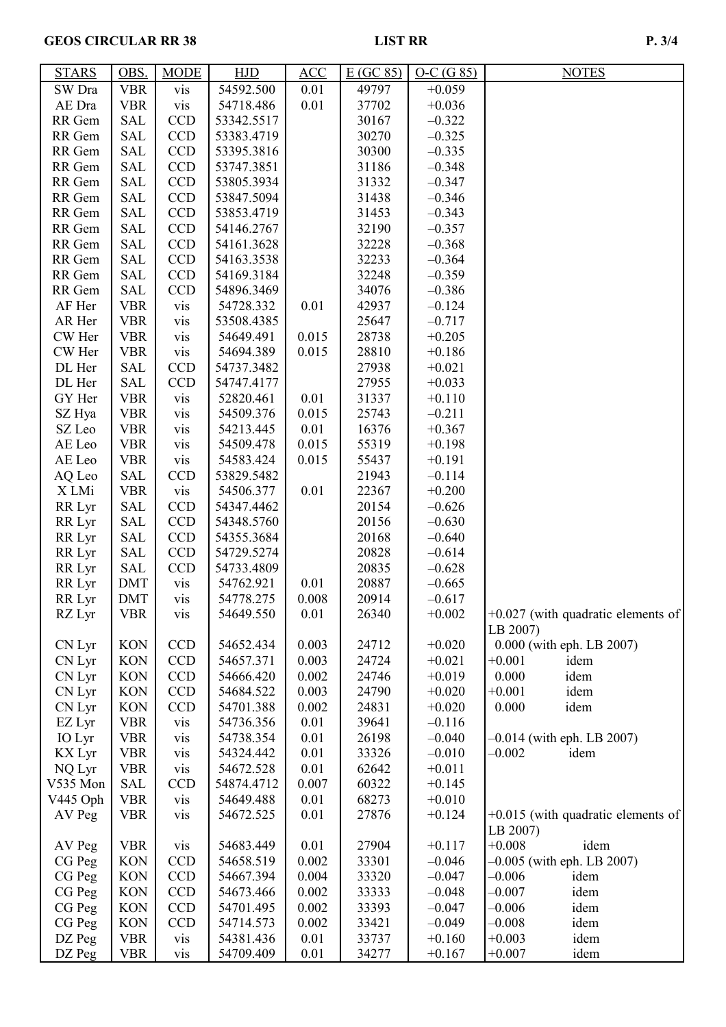# GEOS CIRCULAR RR 38 LIST RR P. 3/4

| <b>STARS</b>  | OBS.       | <b>MODE</b> | HJD        | ACC   | E(GC 85) | $O-C(G 85)$ | <b>NOTES</b>                         |
|---------------|------------|-------------|------------|-------|----------|-------------|--------------------------------------|
| SW Dra        | <b>VBR</b> | vis         | 54592.500  | 0.01  | 49797    | $+0.059$    |                                      |
| AE Dra        | <b>VBR</b> | vis         | 54718.486  | 0.01  | 37702    | $+0.036$    |                                      |
| RR Gem        | <b>SAL</b> | <b>CCD</b>  | 53342.5517 |       | 30167    | $-0.322$    |                                      |
| RR Gem        | <b>SAL</b> | <b>CCD</b>  | 53383.4719 |       | 30270    | $-0.325$    |                                      |
| RR Gem        | <b>SAL</b> | <b>CCD</b>  | 53395.3816 |       | 30300    | $-0.335$    |                                      |
| RR Gem        | <b>SAL</b> | <b>CCD</b>  | 53747.3851 |       | 31186    | $-0.348$    |                                      |
| RR Gem        | <b>SAL</b> | <b>CCD</b>  | 53805.3934 |       | 31332    | $-0.347$    |                                      |
| RR Gem        | SAL        | <b>CCD</b>  | 53847.5094 |       | 31438    | $-0.346$    |                                      |
| RR Gem        | SAL        | CCD         | 53853.4719 |       | 31453    | $-0.343$    |                                      |
| RR Gem        | <b>SAL</b> | <b>CCD</b>  | 54146.2767 |       | 32190    | $-0.357$    |                                      |
| RR Gem        | <b>SAL</b> | <b>CCD</b>  | 54161.3628 |       | 32228    | $-0.368$    |                                      |
| RR Gem        | <b>SAL</b> | <b>CCD</b>  | 54163.3538 |       | 32233    | $-0.364$    |                                      |
| RR Gem        | <b>SAL</b> | <b>CCD</b>  | 54169.3184 |       | 32248    | $-0.359$    |                                      |
| RR Gem        | <b>SAL</b> | <b>CCD</b>  | 54896.3469 |       | 34076    | $-0.386$    |                                      |
| AF Her        | <b>VBR</b> | vis         | 54728.332  | 0.01  | 42937    | $-0.124$    |                                      |
| AR Her        | <b>VBR</b> | vis         | 53508.4385 |       | 25647    | $-0.717$    |                                      |
| CW Her        | <b>VBR</b> | vis         | 54649.491  | 0.015 | 28738    | $+0.205$    |                                      |
| CW Her        | <b>VBR</b> | vis         | 54694.389  | 0.015 | 28810    | $+0.186$    |                                      |
| DL Her        | SAL        | <b>CCD</b>  | 54737.3482 |       | 27938    | $+0.021$    |                                      |
| DL Her        | <b>SAL</b> | <b>CCD</b>  | 54747.4177 |       | 27955    | $+0.033$    |                                      |
| GY Her        | <b>VBR</b> | vis         | 52820.461  | 0.01  | 31337    | $+0.110$    |                                      |
| SZ Hya        | <b>VBR</b> | vis         | 54509.376  | 0.015 | 25743    | $-0.211$    |                                      |
| SZ Leo        | <b>VBR</b> | vis         | 54213.445  | 0.01  | 16376    | $+0.367$    |                                      |
| AE Leo        | <b>VBR</b> | vis         | 54509.478  | 0.015 | 55319    | $+0.198$    |                                      |
| AE Leo        | <b>VBR</b> | vis         | 54583.424  | 0.015 | 55437    | $+0.191$    |                                      |
| AQ Leo        | SAL        | <b>CCD</b>  | 53829.5482 |       | 21943    | $-0.114$    |                                      |
| X LMi         | <b>VBR</b> | vis         | 54506.377  | 0.01  | 22367    | $+0.200$    |                                      |
| RR Lyr        | SAL        | <b>CCD</b>  | 54347.4462 |       | 20154    | $-0.626$    |                                      |
| RR Lyr        | <b>SAL</b> | <b>CCD</b>  | 54348.5760 |       | 20156    | $-0.630$    |                                      |
| RR Lyr        | <b>SAL</b> | <b>CCD</b>  | 54355.3684 |       | 20168    | $-0.640$    |                                      |
| RR Lyr        | <b>SAL</b> | <b>CCD</b>  | 54729.5274 |       | 20828    | $-0.614$    |                                      |
| RR Lyr        | <b>SAL</b> | <b>CCD</b>  | 54733.4809 |       | 20835    | $-0.628$    |                                      |
| RR Lyr        | <b>DMT</b> | vis         | 54762.921  | 0.01  | 20887    | $-0.665$    |                                      |
| RR Lyr        | <b>DMT</b> | vis         | 54778.275  | 0.008 | 20914    | $-0.617$    |                                      |
| RZ Lyr        | VBR        | <b>VIS</b>  | 54649.550  | 0.01  | 26340    | $+0.002$    | $+0.027$ (with quadratic elements of |
|               |            |             |            |       |          |             | LB 2007)                             |
| CN Lyr        | <b>KON</b> | <b>CCD</b>  | 54652.434  | 0.003 | 24712    | $+0.020$    | 0.000 (with eph. LB 2007)            |
| CN Lyr        | <b>KON</b> | <b>CCD</b>  | 54657.371  | 0.003 | 24724    | $+0.021$    | $+0.001$<br>idem                     |
| CN Lyr        | <b>KON</b> | <b>CCD</b>  | 54666.420  | 0.002 | 24746    | $+0.019$    | 0.000<br>idem                        |
| CN Lyr        | <b>KON</b> | <b>CCD</b>  | 54684.522  | 0.003 | 24790    | $+0.020$    | idem<br>$+0.001$                     |
| CN Lyr        | <b>KON</b> | <b>CCD</b>  | 54701.388  | 0.002 | 24831    | $+0.020$    | 0.000<br>idem                        |
| EZ Lyr        | <b>VBR</b> | vis         | 54736.356  | 0.01  | 39641    | $-0.116$    |                                      |
| IO Lyr        | <b>VBR</b> | vis         | 54738.354  | 0.01  | 26198    | $-0.040$    | $-0.014$ (with eph. LB 2007)         |
| <b>KX</b> Lyr | <b>VBR</b> | vis         | 54324.442  | 0.01  | 33326    | $-0.010$    | $-0.002$<br>idem                     |
| NQ Lyr        | <b>VBR</b> | vis         | 54672.528  | 0.01  | 62642    | $+0.011$    |                                      |
| V535 Mon      | <b>SAL</b> | <b>CCD</b>  | 54874.4712 | 0.007 | 60322    | $+0.145$    |                                      |
| V445 Oph      | <b>VBR</b> | vis         | 54649.488  | 0.01  | 68273    | $+0.010$    |                                      |
| AV Peg        | <b>VBR</b> | vis         | 54672.525  | 0.01  | 27876    | $+0.124$    | $+0.015$ (with quadratic elements of |
|               |            |             |            |       |          |             | LB 2007)                             |
| AV Peg        | <b>VBR</b> | vis         | 54683.449  | 0.01  | 27904    | $+0.117$    | $+0.008$<br>idem                     |
| CG Peg        | <b>KON</b> | <b>CCD</b>  | 54658.519  | 0.002 | 33301    | $-0.046$    | $-0.005$ (with eph. LB 2007)         |
| CG Peg        | <b>KON</b> | <b>CCD</b>  | 54667.394  | 0.004 | 33320    | $-0.047$    | $-0.006$<br>idem                     |
| CG Peg        | <b>KON</b> | <b>CCD</b>  | 54673.466  | 0.002 | 33333    | $-0.048$    | $-0.007$<br>idem                     |
| CG Peg        | <b>KON</b> | <b>CCD</b>  | 54701.495  | 0.002 | 33393    | $-0.047$    | $-0.006$<br>idem                     |
| CG Peg        | <b>KON</b> | <b>CCD</b>  | 54714.573  | 0.002 | 33421    | $-0.049$    | $-0.008$<br>idem                     |
| DZ Peg        | <b>VBR</b> | vis         | 54381.436  | 0.01  | 33737    | $+0.160$    | $+0.003$<br>idem                     |
| DZ Peg        | <b>VBR</b> | vis         | 54709.409  | 0.01  | 34277    | $+0.167$    | $+0.007$<br>idem                     |
|               |            |             |            |       |          |             |                                      |